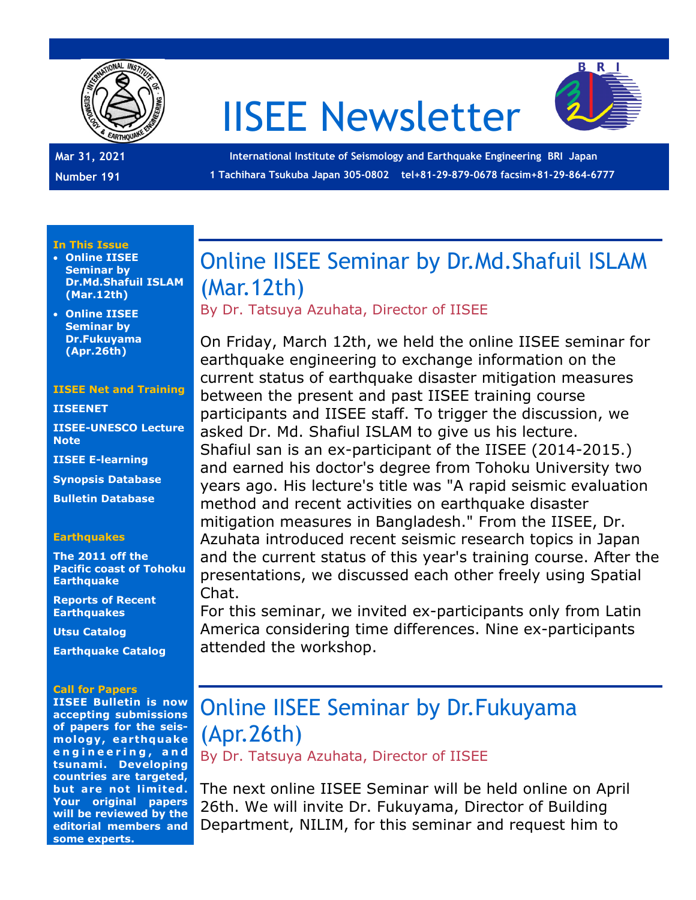

# IISEE Newsletter



**Mar 31, 2021 Number 191**

**International Institute of Seismology and Earthquake Engineering BRI Japan 1 Tachihara Tsukuba Japan 305-0802 tel+81-29-879-0678 facsim+81-29-864-6777**

### **In This Issue**

• **Online IISEE Seminar by Dr.Md.Shafuil ISLAM (Mar.12th)**

• **Online IISEE Seminar by Dr.Fukuyama (Apr.26th)**

### **IISEE Net and Training**

### **[IISEENET](http://iisee.kenken.go.jp/net/)**

**[IISEE-UNESCO Lecture](http://iisee/lna/)  [Note](http://iisee/lna/)**

**[IISEE E-learning](http://iisee/el/)**

**[Synopsis Database](http://iisee/syndb/)**

**[Bulletin Database](http://iisee/bltndb/)**

### **Earthquakes**

**[The 2011 off the](http://iisee/special2/20110311tohoku.htm)  [Pacific coast of Tohoku](http://iisee/special2/20110311tohoku.htm)  [Earthquake](http://iisee/special2/20110311tohoku.htm)**

**[Reports of Recent](http://iisee/quakes.htm)  [Earthquakes](http://iisee/quakes.htm)**

**[Utsu Catalog](http://iisee/utsu/index_eng.html)**

**[Earthquake Catalog](http://iisee/eqcat/Top_page_en.htm)**

### **Call for Papers**

**IISEE Bulletin is now accepting submissions of papers for the seismology, earthquake e n g i n e e r i n g , a n d tsunami. Developing countries are targeted, but are not limited. Your original papers will be reviewed by the editorial members and some experts.**

### Online IISEE Seminar by Dr.Md.Shafuil ISLAM (Mar.12th)

By Dr. Tatsuya Azuhata, Director of IISEE

On Friday, March 12th, we held the online IISEE seminar for earthquake engineering to exchange information on the current status of earthquake disaster mitigation measures between the present and past IISEE training course participants and IISEE staff. To trigger the discussion, we asked Dr. Md. Shafiul ISLAM to give us his lecture. Shafiul san is an ex-participant of the IISEE (2014-2015.) and earned his doctor's degree from Tohoku University two years ago. His lecture's title was "A rapid seismic evaluation method and recent activities on earthquake disaster mitigation measures in Bangladesh." From the IISEE, Dr. Azuhata introduced recent seismic research topics in Japan and the current status of this year's training course. After the presentations, we discussed each other freely using Spatial Chat.

For this seminar, we invited ex-participants only from Latin America considering time differences. Nine ex-participants attended the workshop.

## Online IISEE Seminar by Dr.Fukuyama (Apr.26th)

By Dr. Tatsuya Azuhata, Director of IISEE

The next online IISEE Seminar will be held online on April 26th. We will invite Dr. Fukuyama, Director of Building Department, NILIM, for this seminar and request him to